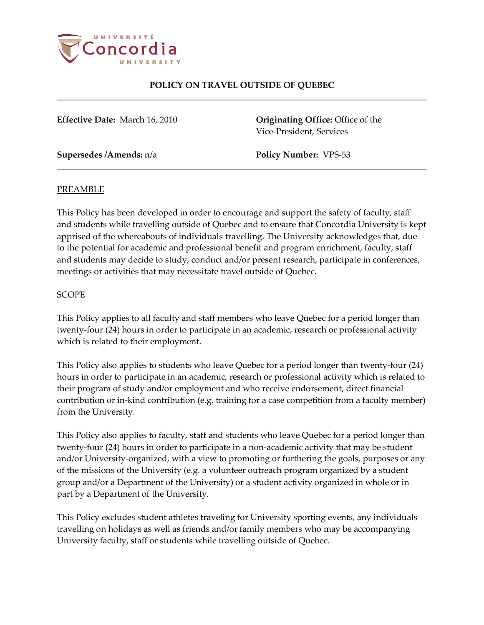

**Effective Date:** March 16, 2010 **Originating Office:** Office of the Vice-President, Services

**Supersedes /Amends:** n/a **Policy Number:** VPS-53

#### PREAMBLE

This Policy has been developed in order to encourage and support the safety of faculty, staff and students while travelling outside of Quebec and to ensure that Concordia University is kept apprised of the whereabouts of individuals travelling. The University acknowledges that, due to the potential for academic and professional benefit and program enrichment, faculty, staff and students may decide to study, conduct and/or present research, participate in conferences, meetings or activities that may necessitate travel outside of Quebec.

#### **SCOPE**

This Policy applies to all faculty and staff members who leave Quebec for a period longer than twenty-four (24) hours in order to participate in an academic, research or professional activity which is related to their employment.

This Policy also applies to students who leave Quebec for a period longer than twenty-four (24) hours in order to participate in an academic, research or professional activity which is related to their program of study and/or employment and who receive endorsement, direct financial contribution or in-kind contribution (e.g. training for a case competition from a faculty member) from the University.

This Policy also applies to faculty, staff and students who leave Quebec for a period longer than twenty-four (24) hours in order to participate in a non-academic activity that may be student and/or University-organized, with a view to promoting or furthering the goals, purposes or any of the missions of the University (e.g. a volunteer outreach program organized by a student group and/or a Department of the University) or a student activity organized in whole or in part by a Department of the University.

This Policy excludes student athletes traveling for University sporting events, any individuals travelling on holidays as well as friends and/or family members who may be accompanying University faculty, staff or students while travelling outside of Quebec.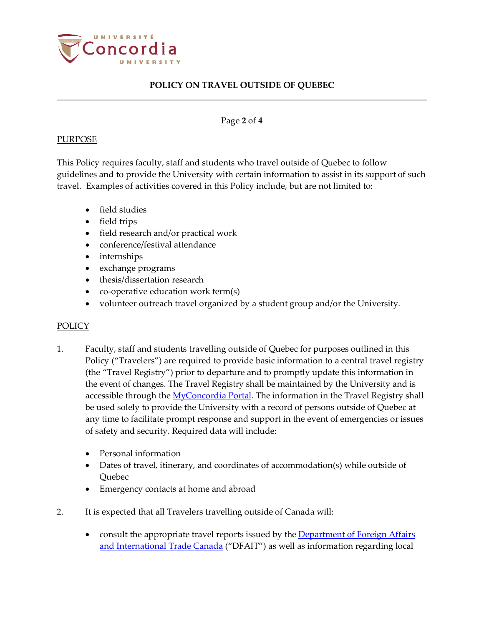

#### Page **2** of **4**

### PURPOSE

This Policy requires faculty, staff and students who travel outside of Quebec to follow guidelines and to provide the University with certain information to assist in its support of such travel. Examples of activities covered in this Policy include, but are not limited to:

- field studies
- field trips
- field research and/or practical work
- conference/festival attendance
- internships
- exchange programs
- thesis/dissertation research
- co-operative education work term(s)
- volunteer outreach travel organized by a student group and/or the University.

### POLICY

- 1. Faculty, staff and students travelling outside of Quebec for purposes outlined in this Policy ("Travelers") are required to provide basic information to a central travel registry (the "Travel Registry") prior to departure and to promptly update this information in the event of changes. The Travel Registry shall be maintained by the University and is accessible through th[e MyConcordia Portal.](https://www.myconcordia.ca/) The information in the Travel Registry shall be used solely to provide the University with a record of persons outside of Quebec at any time to facilitate prompt response and support in the event of emergencies or issues of safety and security. Required data will include:
	- Personal information
	- Dates of travel, itinerary, and coordinates of accommodation(s) while outside of Quebec
	- Emergency contacts at home and abroad
- 2. It is expected that all Travelers travelling outside of Canada will:
	- consult the appropriate travel reports issued by the **Department of Foreign Affairs** [and International Trade](http://www.voyage.gc.ca/index-eng.asp) Canada ("DFAIT") as well as information regarding local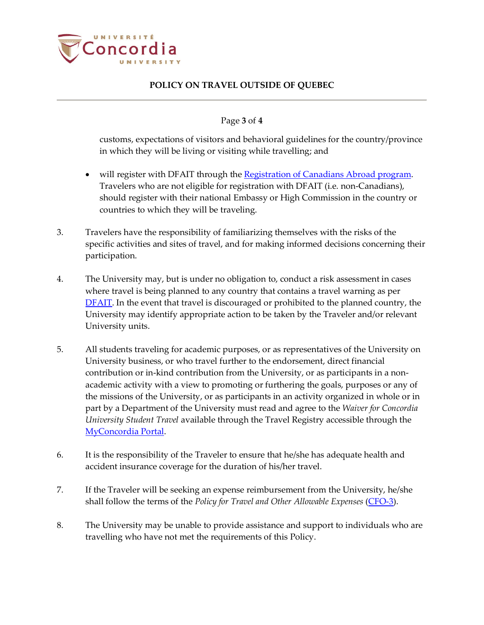

### Page **3** of **4**

customs, expectations of visitors and behavioral guidelines for the country/province in which they will be living or visiting while travelling; and

- will register with DFAIT through the Registration of Canadians [Abroad program.](http://travel.gc.ca/assistance/emergency-info/roca-faq) Travelers who are not eligible for registration with DFAIT (i.e. non-Canadians), should register with their national Embassy or High Commission in the country or countries to which they will be traveling.
- 3. Travelers have the responsibility of familiarizing themselves with the risks of the specific activities and sites of travel, and for making informed decisions concerning their participation.
- 4. The University may, but is under no obligation to, conduct a risk assessment in cases where travel is being planned to any country that contains a travel warning as per [DFAIT.](http://www.voyage.gc.ca/countries_pays/menu-eng.asp) In the event that travel is discouraged or prohibited to the planned country, the University may identify appropriate action to be taken by the Traveler and/or relevant University units.
- 5. All students traveling for academic purposes, or as representatives of the University on University business, or who travel further to the endorsement, direct financial contribution or in-kind contribution from the University, or as participants in a nonacademic activity with a view to promoting or furthering the goals, purposes or any of the missions of the University, or as participants in an activity organized in whole or in part by a Department of the University must read and agree to the *Waiver for Concordia University Student Travel* available through the Travel Registry accessible through the [MyConcordia Portal.](https://www.myconcordia.ca/)
- 6. It is the responsibility of the Traveler to ensure that he/she has adequate health and accident insurance coverage for the duration of his/her travel.
- 7. If the Traveler will be seeking an expense reimbursement from the University, he/she shall follow the terms of the *Policy for Travel and Other Allowable Expenses* [\(CFO-3\)](http://www.concordia.ca/content/dam/common/docs/policies/official-policies/CFO-3.pdf).
- 8. The University may be unable to provide assistance and support to individuals who are travelling who have not met the requirements of this Policy.